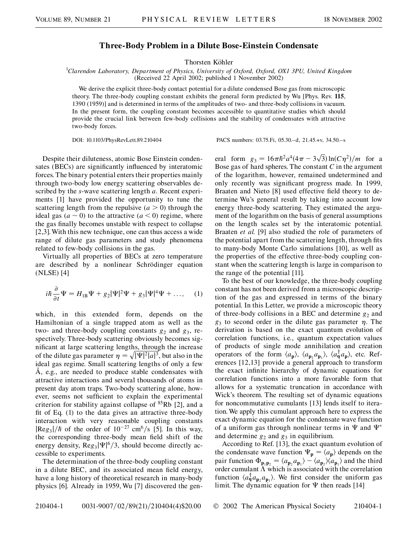## **Three-Body Problem in a Dilute Bose-Einstein Condensate**

Thorsten Köhler

1 *Clarendon Laboratory, Department of Physics, University of Oxford, Oxford, OX1 3PU, United Kingdom* (Received 22 April 2002; published 1 November 2002)

We derive the explicit three-body contact potential for a dilute condensed Bose gas from microscopic theory. The three-body coupling constant exhibits the general form predicted by Wu [Phys. Rev. **115**, 1390 (1959)] and is determined in terms of the amplitudes of two- and three-body collisions in vacuum. In the present form, the coupling constant becomes accessible to quantitative studies which should provide the crucial link between few-body collisions and the stability of condensates with attractive two-body forces.

DOI: 10.1103/PhysRevLett.89.210404 PACS numbers: 03.75.Fi, 05.30.–d, 21.45.+v, 34.50.–s

Despite their diluteness, atomic Bose Einstein condensates (BECs) are significantly influenced by interatomic forces. The binary potential enters their properties mainly through two-body low energy scattering observables described by the *s*-wave scattering length *a*. Recent experiments [1] have provided the opportunity to tune the scattering length from the repulsive  $(a > 0)$  through the ideal gas  $(a \sim 0)$  to the attractive  $(a \le 0)$  regime, where the gas finally becomes unstable with respect to collapse [2,3]. With this new technique, one can thus access a wide range of dilute gas parameters and study phenomena related to few-body collisions in the gas.

Virtually all properties of BECs at zero temperature are described by a nonlinear Schrödinger equation (NLSE) [4]

$$
i\hbar \frac{\partial}{\partial t} \Psi = H_{1B} \Psi + g_2 |\Psi|^2 \Psi + g_3 |\Psi|^4 \Psi + \dots, \quad (1)
$$

which, in this extended form, depends on the Hamiltonian of a single trapped atom as well as the two- and three-body coupling constants  $g_2$  and  $g_3$ , respectively. Three-body scattering obviously becomes significant at large scattering lengths, through the increase of the dilute gas parameter  $\eta = \sqrt{|\Psi|^2} |a|^3$ , but also in the ideal gas regime. Small scattering lengths of only a few  $\dot{A}$ , e.g., are needed to produce stable condensates with attractive interactions and several thousands of atoms in present day atom traps. Two-body scattering alone, however, seems not sufficient to explain the experimental criterion for stability against collapse of 85Rb [2], and a fit of Eq. (1) to the data gives an attractive three-body interaction with very reasonable coupling constants  $|Reg_3|/\hbar$  of the order of  $10^{-27}$  cm<sup>6</sup>/s [5]. In this way, the corresponding three-body mean field shift of the energy density,  $\text{Re}g_3|\Psi|^6/3$ , should become directly accessible to experiments.

The determination of the three-body coupling constant in a dilute BEC, and its associated mean field energy, have a long history of theoretical research in many-body physics [6]. Already in 1959, Wu [7] discovered the gen-

eral form  $g_3 = 16\pi\hbar^2 a^4 (4\pi - 3\sqrt{3}) \ln(C\eta^2)/m$  for a Bose gas of hard spheres. The constant *C* in the argument of the logarithm, however, remained undetermined and only recently was significant progress made. In 1999, Braaten and Nieto [8] used effective field theory to determine Wu's general result by taking into account low energy three-body scattering. They estimated the argument of the logarithm on the basis of general assumptions on the length scales set by the interatomic potential. Braaten *et al.* [9] also studied the role of parameters of the potential apart from the scattering length, through fits to many-body Monte Carlo simulations [10], as well as the properties of the effective three-body coupling constant when the scattering length is large in comparison to the range of the potential [11].

To the best of our knowledge, the three-body coupling constant has not been derived from a microscopic description of the gas and expressed in terms of the binary potential. In this Letter, we provide a microscopic theory of three-body collisions in a BEC and determine  $g_2$  and  $g_3$  to second order in the dilute gas parameter  $\eta$ . The derivation is based on the exact quantum evolution of correlation functions, i.e., quantum expectation values of products of single mode annihilation and creation operators of the form  $\langle a_{\bf p} \rangle$ ,  $\langle a_{\bf p_2} a_{\bf p_1} \rangle$ ,  $\langle a_{\bf q}^{\dagger} a_{\bf p} \rangle$ , etc. References [12,13] provide a general approach to transform the exact infinite hierarchy of dynamic equations for correlation functions into a more favorable form that allows for a systematic truncation in accordance with Wick's theorem. The resulting set of dynamic equations for noncommutative cumulants [13] lends itself to iteration. We apply this cumulant approach here to express the exact dynamic equation for the condensate wave function of a uniform gas through nonlinear terms in  $\Psi$  and  $\Psi^*$ and determine  $g_2$  and  $g_3$  in equilibrium.

According to Ref. [13], the exact quantum evolution of the condensate wave function  $\Psi_{\bf p} = \langle a_{\bf p} \rangle$  depends on the pair function  $\Phi_{\mathbf{p}_1 \mathbf{p}_2} = \langle a_{\mathbf{p}_2} a_{\mathbf{p}_1} \rangle - \langle a_{\mathbf{p}_2} \rangle \langle a_{\mathbf{p}_1} \rangle$  and the third order cumulant  $\Lambda$  which is associated with the correlation function  $\langle a_{\bf q}^\dagger a_{{\bf p}_2} a_{{\bf p}_1} \rangle$ . We first consider the uniform gas limit. The dynamic equation for  $\Psi$  then reads [14]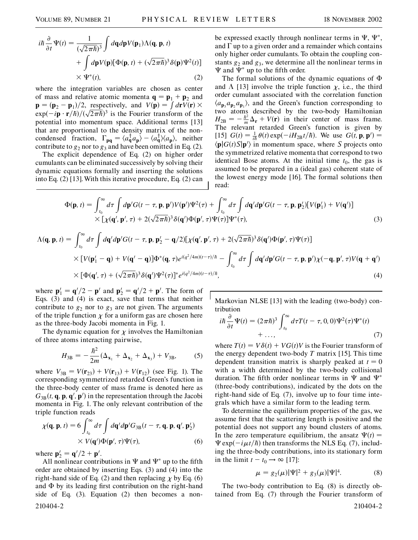$$
i\hbar \frac{\partial}{\partial t} \Psi(t) = \frac{1}{(\sqrt{2\pi\hbar})^3} \int d\mathbf{q} d\mathbf{p} V(\mathbf{p}_1) \Lambda(\mathbf{q}, \mathbf{p}, t)
$$
  
+ 
$$
\int d\mathbf{p} V(\mathbf{p}) [\Phi(\mathbf{p}, t) + (\sqrt{2\pi\hbar})^3 \delta(\mathbf{p}) \Psi^2(t)]
$$
  
× 
$$
\Psi^*(t),
$$
 (2)

where the integration variables are chosen as center of mass and relative atomic momenta  $\mathbf{q} = \mathbf{p}_1 + \mathbf{p}_2$  and  $\mathbf{p} = (\mathbf{p}_2 - \mathbf{p}_1)/2$ , respectively, and  $V(\mathbf{p}) = \int d\mathbf{r}V(\mathbf{r}) \times$  $\mathbf{p} = (\mathbf{p}_2 - \mathbf{p}_1)/2$ , respectively, and  $V(\mathbf{p}) = \int d\mathbf{r} V(\mathbf{r}) \times$ <br>  $\exp(-i\mathbf{p} \cdot \mathbf{r}/\hbar)/(\sqrt{2\pi\hbar})^3$  is the Fourier transform of the potential into momentum space. Additional terms [13] that are proportional to the density matrix of the noncondensed fraction,  $\Gamma_{pq} = \langle a_q^{\dagger} a_p \rangle - \langle a_q^{\dagger} \rangle \langle a_p \rangle$ , neither contribute to  $g_2$  nor to  $g_3$  and have been omitted in Eq. (2).

The explicit dependence of Eq. (2) on higher order cumulants can be eliminated successively by solving their dynamic equations formally and inserting the solutions into Eq. (2) [13]. With this iterative procedure, Eq. (2) can be expressed exactly through nonlinear terms in  $\Psi$ ,  $\Psi^*$ , and  $\Gamma$  up to a given order and a remainder which contains only higher order cumulants. To obtain the coupling constants  $g_2$  and  $g_3$ , we determine all the nonlinear terms in  $\Psi$  and  $\Psi^*$  up to the fifth order.

The formal solutions of the dynamic equations of  $\Phi$ and  $\Lambda$  [13] involve the triple function  $\chi$ , i.e., the third order cumulant associated with the correlation function  $\langle a_{\mathbf{p}_3} a_{\mathbf{p}_2} a_{\mathbf{p}_1} \rangle$ , and the Green's function corresponding to two atoms described by the two-body Hamiltonian  $H_{2B} = -\frac{\hbar^2}{m}\Delta_{\bf r} + V({\bf r})$  in their center of mass frame. The relevant retarded Green's function is given by [15]  $G(t) = \frac{1}{i\hbar} \theta(t) \exp(-iH_{2\text{B}}t/\hbar)$ . We use  $G(t, \mathbf{p}, \mathbf{p}')$  $\langle \mathbf{p} | G(t) S | \mathbf{p}' \rangle$  in momentum space, where S projects onto the symmetrized relative momenta that correspond to two identical Bose atoms. At the initial time  $t_0$ , the gas is assumed to be prepared in a (ideal gas) coherent state of the lowest energy mode [16]. The formal solutions then read:

$$
\Phi(\mathbf{p},t) = \int_{t_0}^{\infty} d\tau \int d\mathbf{p}' G(t-\tau,\mathbf{p},\mathbf{p}') V(\mathbf{p}') \Psi^2(\tau) + \int_{t_0}^{\infty} d\tau \int d\mathbf{q}' d\mathbf{p}' G(t-\tau,\mathbf{p},\mathbf{p}'_2) [V(\mathbf{p}'_1) + V(\mathbf{q}')] \times \left[ \chi(\mathbf{q}',\mathbf{p}',\tau) + 2(\sqrt{2\pi\hbar})^3 \delta(\mathbf{q}') \Phi(\mathbf{p}',\tau) \Psi(\tau) \right] \Psi^*(\tau), \tag{3}
$$

$$
\Lambda(\mathbf{q}, \mathbf{p}, t) = \int_{t_0}^{\infty} d\tau \int d\mathbf{q}' d\mathbf{p}' G(t - \tau, \mathbf{p}, \mathbf{p}'_2 - \mathbf{q}/2) [\chi(\mathbf{q}', \mathbf{p}', \tau) + 2(\sqrt{2\pi\hbar})^3 \delta(\mathbf{q}') \Phi(\mathbf{p}', \tau) \Psi(\tau)]
$$
  
 
$$
\times [\mathbf{V}(\mathbf{p}'_1 - \mathbf{q}) + \mathbf{V}(\mathbf{q}' - \mathbf{q})] \Phi^*(\mathbf{q}, \tau) e^{i(q^2/4m)(t - \tau)/\hbar} - \int_{t_0}^{\infty} d\tau \int d\mathbf{q}' d\mathbf{p}' G(t - \tau, \mathbf{p}, \mathbf{p}') \chi(-\mathbf{q}, \mathbf{p}', \tau) \mathbf{V}(\mathbf{q} + \mathbf{q}')
$$
  
 
$$
\times [\Phi(\mathbf{q}', \tau) + (\sqrt{2\pi\hbar})^3 \delta(\mathbf{q}') \Psi^2(\tau)]^* e^{i(q^2/4m)(t - \tau)/\hbar}, \tag{4}
$$

where  $\mathbf{p}'_1 = \mathbf{q}'/2 - \mathbf{p}'$  and  $\mathbf{p}'_2 = \mathbf{q}'/2 + \mathbf{p}'$ . The form of Eqs. (3) and (4) is exact, save that terms that neither contribute to  $g_2$  nor to  $g_3$  are not given. The arguments of the triple function  $\chi$  for a uniform gas are chosen here as the three-body Jacobi momenta in Fig. 1.

The dynamic equation for  $\chi$  involves the Hamiltonian of three atoms interacting pairwise,

$$
H_{3B} = -\frac{\hbar^2}{2m} (\Delta_{\mathbf{x}_1} + \Delta_{\mathbf{x}_2} + \Delta_{\mathbf{x}_3}) + V_{3B},
$$
 (5)

where  $V_{3B} = V(\mathbf{r}_{23}) + V(\mathbf{r}_{13}) + V(\mathbf{r}_{12})$  (see Fig. 1). The corresponding symmetrized retarded Green's function in the three-body center of mass frame is denoted here as  $G_{3B}(t, \mathbf{q}, \mathbf{p}, \mathbf{q}', \mathbf{p}')$  in the representation through the Jacobi momenta in Fig. 1. The only relevant contribution of the triple function reads

$$
\chi(\mathbf{q}, \mathbf{p}, t) = 6 \int_{t_0}^{\infty} d\tau \int d\mathbf{q}' d\mathbf{p}' G_{3\mathbf{B}}(t - \tau, \mathbf{q}, \mathbf{p}, \mathbf{q}', \mathbf{p}'_2) \times V(\mathbf{q}') \Phi(\mathbf{p}', \tau) \Psi(\tau),
$$
\n(6)

where  ${\bf p}'_2 = {\bf q}'/2 + {\bf p}'$ .

All nonlinear contributions in  $\Psi$  and  $\Psi^*$  up to the fifth order are obtained by inserting Eqs. (3) and (4) into the right-hand side of Eq. (2) and then replacing  $\chi$  by Eq. (6) and  $\Phi$  by its leading first contribution on the right-hand side of Eq. (3). Equation (2) then becomes a non-210404-2 210404-2

Markovian NLSE [13] with the leading (two-body) contribution

$$
i\hbar \frac{\partial}{\partial t} \Psi(t) = (2\pi\hbar)^3 \int_{t_0}^{\infty} d\tau T(t-\tau,0,0) \Psi^2(\tau) \Psi^*(t) + \dots,
$$
 (7)

where  $T(t) = V\delta(t) + VG(t)V$  is the Fourier transform of the energy dependent two-body *T* matrix [15]. This time dependent transition matrix is sharply peaked at  $t = 0$ with a width determined by the two-body collisional duration. The fifth order nonlinear terms in  $\Psi$  and  $\Psi^*$ (three-body contributions), indicated by the dots on the right-hand side of Eq. (7), involve up to four time integrals which have a similar form to the leading term.

To determine the equilibrium properties of the gas, we assume first that the scattering length is positive and the potential does not support any bound clusters of atoms. In the zero temperature equilibrium, the ansatz  $\Psi(t)$  =  $\Psi$  exp $(-i\mu t/\hbar)$  then transforms the NLS Eq. (7), including the three-body contributions, into its stationary form in the limit  $t - t_0 \rightarrow \infty$  [17]:

$$
\mu = g_2(\mu)|\Psi|^2 + g_3(\mu)|\Psi|^4. \tag{8}
$$

The two-body contribution to Eq. (8) is directly obtained from Eq. (7) through the Fourier transform of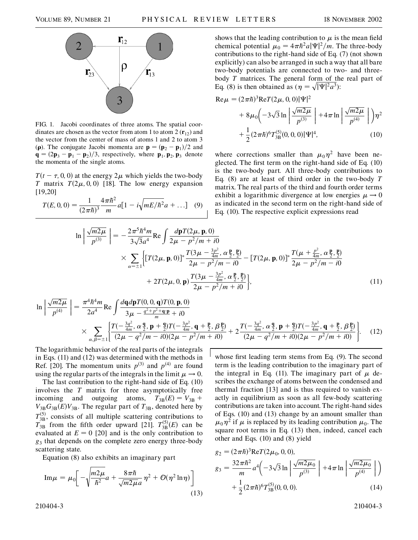

FIG. 1. Jacobi coordinates of three atoms. The spatial coordinates are chosen as the vector from atom 1 to atom 2  $(\mathbf{r}_{12})$  and the vector from the center of mass of atoms 1 and 2 to atom 3 ( $\rho$ ). The conjugate Jacobi momenta are  $\mathbf{p} = (\mathbf{p}_2 - \mathbf{p}_1)/2$  and  $\mathbf{q} = (2\mathbf{p}_3 - \mathbf{p}_1 - \mathbf{p}_2)/3$ , respectively, where  $\mathbf{p}_1$ ,  $\mathbf{p}_2$ ,  $\mathbf{p}_3$  denote the momenta of the single atoms.

 $T(t - \tau, 0, 0)$  at the energy  $2\mu$  which yields the two-body *T* matrix  $T(2\mu, 0, 0)$  [18]. The low energy expansion [19,20]

$$
T(E, 0, 0) = \frac{1}{(2\pi\hbar)^3} \frac{4\pi\hbar^2}{m} a[1 - i\sqrt{mE/\hbar^2}a + ...]
$$
 (9)

shows that the leading contribution to  $\mu$  is the mean field chemical potential  $\mu_0 = 4\pi \hbar^2 a |\Psi|^2/m$ . The three-body contributions to the right-hand side of Eq. (7) (not shown explicitly) can also be arranged in such a way that all bare two-body potentials are connected to two- and threebody *T* matrices. The general form of the real part of body *I* matrices. The general form of the Eq. (8) is then obtained as  $(\eta = \sqrt{|\Psi|^2 a^3})$ :

$$
\text{Re}\,\mu = (2\pi\hbar)^3 \text{Re}\,T(2\mu, 0, 0)|\Psi|^2
$$
  
+  $8\mu_0 \left(-3\sqrt{3}\ln\left|\frac{\sqrt{m2\mu}}{p^{(3)}}\right| + 4\pi\ln\left|\frac{\sqrt{m2\mu}}{p^{(4)}}\right|\right)\eta^2$   
+  $\frac{1}{2}(2\pi\hbar)^6 T_{3B}^{(5)}(0, 0, 0)|\Psi|^4,$  (10)

where corrections smaller than  $\mu_0 \eta^2$  have been neglected. The first term on the right-hand side of Eq. (10) is the two-body part. All three-body contributions to Eq. (8) are at least of third order in the two-body *T* matrix. The real parts of the third and fourth order terms exhibit a logarithmic divergence at low energies  $\mu \rightarrow 0$ as indicated in the second term on the right-hand side of Eq. (10). The respective explicit expressions read

$$
\ln \left| \frac{\sqrt{m2\mu}}{p^{(3)}} \right| = -\frac{2\pi^5 \hbar^4 m}{3\sqrt{3}a^4} \text{Re} \int \frac{d\mathbf{p} T(2\mu, \mathbf{p}, 0)}{2\mu - p^2/m + i0} \times \sum_{\alpha = \pm 1} \left[ \left[ T(2\mu, \mathbf{p}, 0) \right]^* \frac{T(3\mu - \frac{3p^2}{4m}, \alpha \frac{\mathbf{p}}{2}, \frac{\mathbf{p}}{2})}{2\mu - p^2/m - i0} - \left[ T(2\mu, \mathbf{p}, 0) \right]^* \frac{T(\mu + \frac{p^2}{4m}, \alpha \frac{\mathbf{p}}{2}, \frac{\mathbf{p}}{2})}{2\mu - p^2/m - i0} + 2T(2\mu, 0, \mathbf{p}) \frac{T(3\mu - \frac{3p^2}{4m}, \alpha \frac{\mathbf{p}}{2}, \frac{\mathbf{p}}{2})}{2\mu - p^2/m + i0} \right], \tag{11}
$$

$$
\ln\left|\frac{\sqrt{m2\mu}}{p^{(4)}}\right| = \frac{\pi^4\hbar^4 m}{2a^4} \text{Re}\int \frac{dqdpT(0, 0, \mathbf{q})T(0, \mathbf{p}, 0)}{3\mu - \frac{q^2 + p^2 + \mathbf{q} \cdot \mathbf{p}}{m} + i0} + i0
$$
\n
$$
\times \sum_{\alpha,\beta=\pm 1} \left\{ \frac{T(-\frac{3q^2}{4m}, \alpha\frac{\mathbf{q}}{2}, \mathbf{p} + \frac{\mathbf{q}}{2})T(-\frac{3p^2}{4m}, \mathbf{q} + \frac{\mathbf{p}}{2}, \beta\frac{\mathbf{p}}{2})}{(2\mu - q^2/m - i0)(2\mu - p^2/m + i0)} + 2 \frac{T(-\frac{3q^2}{4m}, \alpha\frac{\mathbf{q}}{2}, \mathbf{p} + \frac{\mathbf{q}}{2})T(-\frac{3p^2}{4m}, \mathbf{q} + \frac{\mathbf{p}}{2}, \beta\frac{\mathbf{p}}{2})}{(2\mu - q^2/m + i0)(2\mu - p^2/m + i0)} \right\}.
$$
 (12)

The logarithmic behavior of the real parts of the integrals in Eqs. (11) and (12) was determined with the methods in Ref. [20]. The momentum units  $p^{(3)}$  and  $p^{(4)}$  are found using the regular parts of the integrals in the limit  $\mu \rightarrow 0$ .

The last contribution to the right-hand side of Eq. (10) involves the *T* matrix for three asymptotically free incoming and outgoing atoms,  $T_{3B}(E) = V_{3B} +$  $V_{3B}G_{3B}(E)V_{3B}$ . The regular part of  $T_{3B}$ , denoted here by  $T_{3B}^{(5)}$ , consists of all multiple scattering contributions to  $T_{3B}^{(5)}$  from the fifth order upward [21].  $T_{3B}^{(5)}(E)$  can be evaluated at  $E = 0$  [20] and is the only contribution to *g*<sup>3</sup> that depends on the complete zero energy three-body scattering state.

Equation (8) also exhibits an imaginary part

$$
\text{Im}\,\mu = \mu_0 \bigg[ -\sqrt{\frac{m_2\mu}{\hbar^2}} a + \frac{8\pi\hbar}{\sqrt{m_2\mu}a} \eta^2 + \mathcal{O}(\eta^2 \ln \eta) \bigg]
$$
\n(13)

whose first leading term stems from Eq. (9). The second term is the leading contribution to the imaginary part of the integral in Eq. (11). The imaginary part of  $\mu$  describes the exchange of atoms between the condensed and thermal fraction [13] and is thus required to vanish exactly in equilibrium as soon as all few-body scattering contributions are taken into account. The right-hand sides of Eqs. (10) and (13) change by an amount smaller than  $\mu_0 \eta^2$  if  $\mu$  is replaced by its leading contribution  $\mu_0$ . The square root terms in Eq. (13) then, indeed, cancel each other and Eqs. (10) and (8) yield

$$
g_2 = (2\pi\hbar)^3 \text{Re} T(2\mu_0, 0, 0),
$$
  
\n
$$
g_3 = \frac{32\pi\hbar^2}{m} a^4 \left( -3\sqrt{3} \ln \left| \frac{\sqrt{m2\mu_0}}{p^{(3)}} \right| + 4\pi \ln \left| \frac{\sqrt{m2\mu_0}}{p^{(4)}} \right| \right)
$$
  
\n
$$
+ \frac{1}{2} (2\pi\hbar)^6 T_{3B}^{(5)}(0, 0, 0).
$$
\n(14)